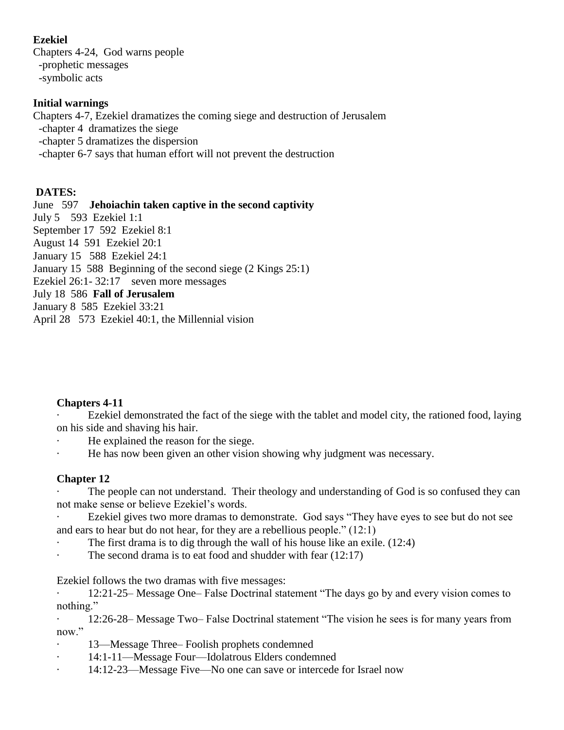## **Ezekiel**

Chapters 4-24, God warns people -prophetic messages -symbolic acts

### **Initial warnings**

Chapters 4-7, Ezekiel dramatizes the coming siege and destruction of Jerusalem -chapter 4 dramatizes the siege -chapter 5 dramatizes the dispersion -chapter 6-7 says that human effort will not prevent the destruction

### **DATES:**

June 597 **Jehoiachin taken captive in the second captivity** July 5 593 Ezekiel 1:1 September 17 592 Ezekiel 8:1 August 14 591 Ezekiel 20:1 January 15 588 Ezekiel 24:1 January 15 588 Beginning of the second siege (2 Kings 25:1) Ezekiel 26:1-32:17 seven more messages July 18 586 **Fall of Jerusalem** January 8 585 Ezekiel 33:21 April 28 573 Ezekiel 40:1, the Millennial vision

### **Chapters 4-11**

Ezekiel demonstrated the fact of the siege with the tablet and model city, the rationed food, laying on his side and shaving his hair.

- He explained the reason for the siege.
- He has now been given an other vision showing why judgment was necessary.

## **Chapter 12**

The people can not understand. Their theology and understanding of God is so confused they can not make sense or believe Ezekiel's words.

Ezekiel gives two more dramas to demonstrate. God says "They have eyes to see but do not see and ears to hear but do not hear, for they are a rebellious people." (12:1)

- The first drama is to dig through the wall of his house like an exile.  $(12.4)$
- The second drama is to eat food and shudder with fear  $(12:17)$

Ezekiel follows the two dramas with five messages:

· 12:21-25– Message One– False Doctrinal statement "The days go by and every vision comes to nothing."

· 12:26-28– Message Two– False Doctrinal statement "The vision he sees is for many years from now."

- · 13—Message Three– Foolish prophets condemned
- · 14:1-11—Message Four—Idolatrous Elders condemned
- · 14:12-23—Message Five—No one can save or intercede for Israel now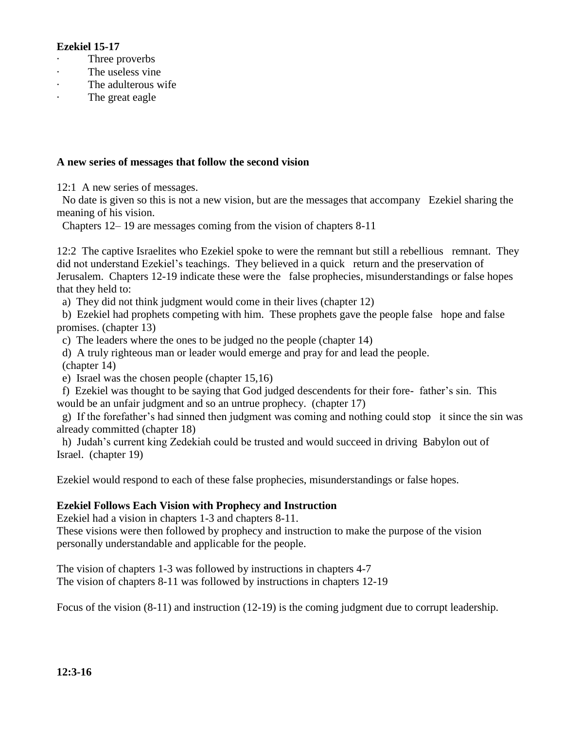#### **Ezekiel 15-17**

- Three proverbs
- The useless vine
- The adulterous wife
- The great eagle

#### **A new series of messages that follow the second vision**

12:1 A new series of messages.

No date is given so this is not a new vision, but are the messages that accompany Ezekiel sharing the meaning of his vision.

Chapters 12– 19 are messages coming from the vision of chapters 8-11

12:2 The captive Israelites who Ezekiel spoke to were the remnant but still a rebellious remnant. They did not understand Ezekiel's teachings. They believed in a quick return and the preservation of Jerusalem. Chapters 12-19 indicate these were the false prophecies, misunderstandings or false hopes that they held to:

a) They did not think judgment would come in their lives (chapter 12)

b) Ezekiel had prophets competing with him. These prophets gave the people false hope and false promises. (chapter 13)

c) The leaders where the ones to be judged no the people (chapter 14)

d) A truly righteous man or leader would emerge and pray for and lead the people.

(chapter 14)

e) Israel was the chosen people (chapter 15,16)

f) Ezekiel was thought to be saying that God judged descendents for their fore- father's sin. This would be an unfair judgment and so an untrue prophecy. (chapter 17)

g) If the forefather's had sinned then judgment was coming and nothing could stop it since the sin was already committed (chapter 18)

h) Judah's current king Zedekiah could be trusted and would succeed in driving Babylon out of Israel. (chapter 19)

Ezekiel would respond to each of these false prophecies, misunderstandings or false hopes.

#### **Ezekiel Follows Each Vision with Prophecy and Instruction**

Ezekiel had a vision in chapters 1-3 and chapters 8-11.

These visions were then followed by prophecy and instruction to make the purpose of the vision personally understandable and applicable for the people.

The vision of chapters 1-3 was followed by instructions in chapters 4-7 The vision of chapters 8-11 was followed by instructions in chapters 12-19

Focus of the vision (8-11) and instruction (12-19) is the coming judgment due to corrupt leadership.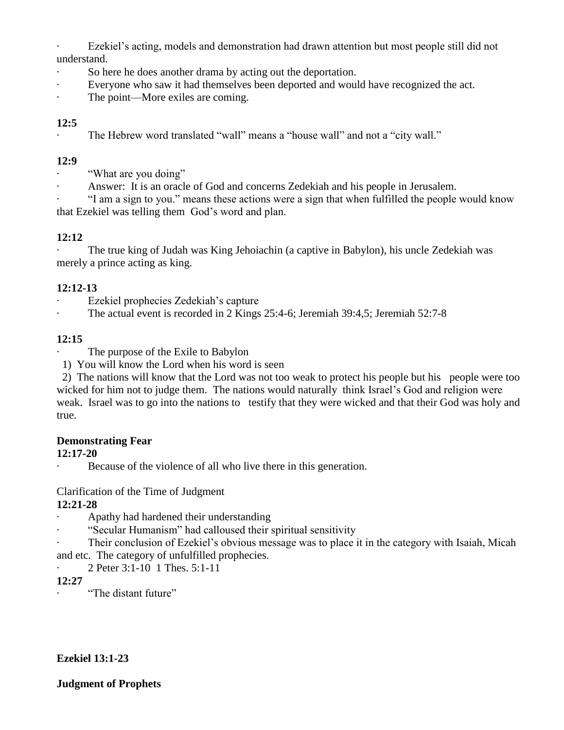· Ezekiel's acting, models and demonstration had drawn attention but most people still did not understand.

- So here he does another drama by acting out the deportation.
- Everyone who saw it had themselves been deported and would have recognized the act.
- The point—More exiles are coming.

# **12:5**

The Hebrew word translated "wall" means a "house wall" and not a "city wall."

# **12:9**

- "What are you doing"
- Answer: It is an oracle of God and concerns Zedekiah and his people in Jerusalem.

· "I am a sign to you." means these actions were a sign that when fulfilled the people would know that Ezekiel was telling them God's word and plan.

# **12:12**

· The true king of Judah was King Jehoiachin (a captive in Babylon), his uncle Zedekiah was merely a prince acting as king.

## **12:12-13**

- Ezekiel prophecies Zedekiah's capture
- The actual event is recorded in 2 Kings 25:4-6; Jeremiah 39:4,5; Jeremiah 52:7-8

# **12:15**

- The purpose of the Exile to Babylon
- 1) You will know the Lord when his word is seen

2) The nations will know that the Lord was not too weak to protect his people but his people were too wicked for him not to judge them. The nations would naturally think Israel's God and religion were weak. Israel was to go into the nations to testify that they were wicked and that their God was holy and true.

## **Demonstrating Fear**

## **12:17-20**

Because of the violence of all who live there in this generation.

# Clarification of the Time of Judgment

## **12:21-28**

- · Apathy had hardened their understanding
- · "Secular Humanism" had calloused their spiritual sensitivity
- Their conclusion of Ezekiel's obvious message was to place it in the category with Isaiah, Micah and etc. The category of unfulfilled prophecies.
	- · 2 Peter 3:1-10 1 Thes. 5:1-11

# **12:27**

· "The distant future"

## **Ezekiel 13:1-23**

### **Judgment of Prophets**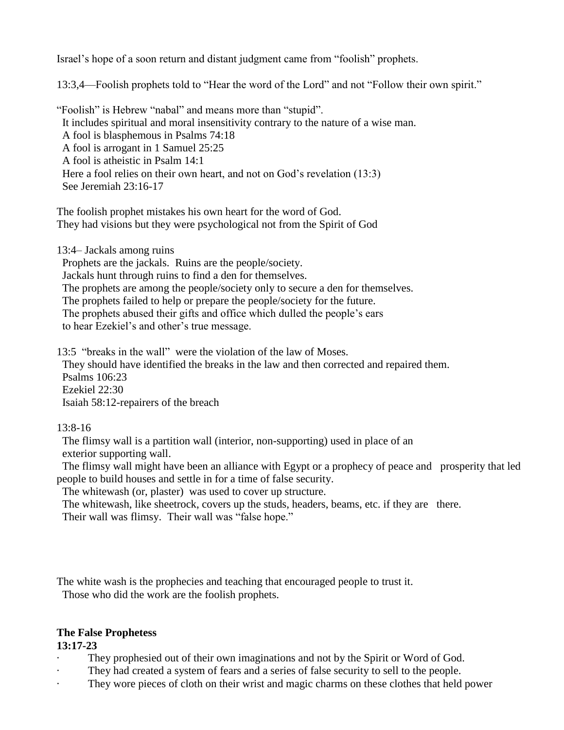Israel's hope of a soon return and distant judgment came from "foolish" prophets.

13:3,4—Foolish prophets told to "Hear the word of the Lord" and not "Follow their own spirit."

"Foolish" is Hebrew "nabal" and means more than "stupid". It includes spiritual and moral insensitivity contrary to the nature of a wise man. A fool is blasphemous in Psalms 74:18 A fool is arrogant in 1 Samuel 25:25 A fool is atheistic in Psalm 14:1 Here a fool relies on their own heart, and not on God's revelation (13:3) See Jeremiah 23:16-17

The foolish prophet mistakes his own heart for the word of God. They had visions but they were psychological not from the Spirit of God

13:4– Jackals among ruins

Prophets are the jackals. Ruins are the people/society.

Jackals hunt through ruins to find a den for themselves.

The prophets are among the people/society only to secure a den for themselves.

The prophets failed to help or prepare the people/society for the future.

The prophets abused their gifts and office which dulled the people's ears

to hear Ezekiel's and other's true message.

13:5 "breaks in the wall" were the violation of the law of Moses.

They should have identified the breaks in the law and then corrected and repaired them. Psalms 106:23 Ezekiel 22:30

Isaiah 58:12-repairers of the breach

#### 13:8-16

The flimsy wall is a partition wall (interior, non-supporting) used in place of an exterior supporting wall.

The flimsy wall might have been an alliance with Egypt or a prophecy of peace and prosperity that led people to build houses and settle in for a time of false security.

The whitewash (or, plaster) was used to cover up structure.

The whitewash, like sheetrock, covers up the studs, headers, beams, etc. if they are there. Their wall was flimsy. Their wall was "false hope."

The white wash is the prophecies and teaching that encouraged people to trust it. Those who did the work are the foolish prophets.

#### **The False Prophetess**

**13:17-23**

- They prophesied out of their own imaginations and not by the Spirit or Word of God.
- They had created a system of fears and a series of false security to sell to the people.
- They wore pieces of cloth on their wrist and magic charms on these clothes that held power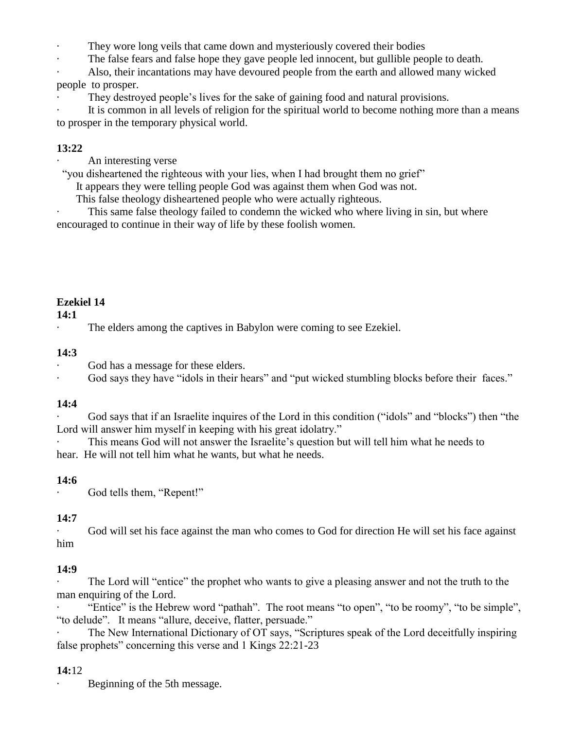They wore long veils that came down and mysteriously covered their bodies

The false fears and false hope they gave people led innocent, but gullible people to death.

Also, their incantations may have devoured people from the earth and allowed many wicked

people to prosper.

They destroyed people's lives for the sake of gaining food and natural provisions.

It is common in all levels of religion for the spiritual world to become nothing more than a means to prosper in the temporary physical world.

# **13:22**

An interesting verse

"you disheartened the righteous with your lies, when I had brought them no grief"

It appears they were telling people God was against them when God was not.

This false theology disheartened people who were actually righteous.

This same false theology failed to condemn the wicked who where living in sin, but where encouraged to continue in their way of life by these foolish women.

# **Ezekiel 14**

### **14:1**

The elders among the captives in Babylon were coming to see Ezekiel.

### **14:3**

God has a message for these elders.

God says they have "idols in their hears" and "put wicked stumbling blocks before their faces."

## **14:4**

God says that if an Israelite inquires of the Lord in this condition ("idols" and "blocks") then "the Lord will answer him myself in keeping with his great idolatry."

· This means God will not answer the Israelite's question but will tell him what he needs to hear. He will not tell him what he wants, but what he needs.

## **14:6**

God tells them, "Repent!"

## **14:7**

God will set his face against the man who comes to God for direction He will set his face against him

## **14:9**

The Lord will "entice" the prophet who wants to give a pleasing answer and not the truth to the man enquiring of the Lord.

· "Entice" is the Hebrew word "pathah". The root means "to open", "to be roomy", "to be simple", "to delude". It means "allure, deceive, flatter, persuade."

The New International Dictionary of OT says, "Scriptures speak of the Lord deceitfully inspiring false prophets" concerning this verse and 1 Kings 22:21-23

## **14:**12

Beginning of the 5th message.